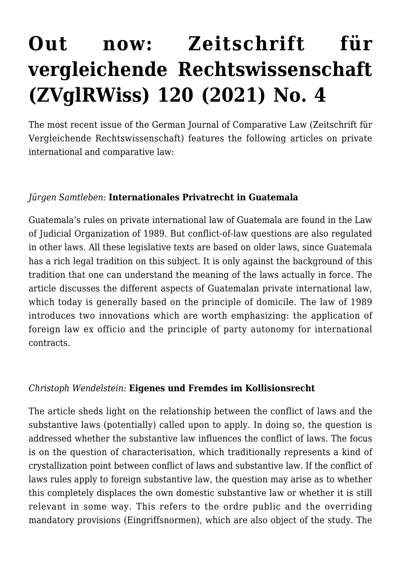# **[Out now: Zeitschrift für](https://conflictoflaws.net/2022/out-now-zeitschrift-fur-vergleichende-rechtswissenschaft-zvglrwiss-120-2021-no-4/) [vergleichende Rechtswissenschaft](https://conflictoflaws.net/2022/out-now-zeitschrift-fur-vergleichende-rechtswissenschaft-zvglrwiss-120-2021-no-4/) [\(ZVglRWiss\) 120 \(2021\) No. 4](https://conflictoflaws.net/2022/out-now-zeitschrift-fur-vergleichende-rechtswissenschaft-zvglrwiss-120-2021-no-4/)**

The most recent issue of the German Journal of Comparative Law (Zeitschrift für Vergleichende Rechtswissenschaft) features the following articles on private international and comparative law:

### *Jürgen Samtleben:* **Internationales Privatrecht in Guatemala**

Guatemala's rules on private international law of Guatemala are found in the Law of Judicial Organization of 1989. But conflict-of-law questions are also regulated in other laws. All these legislative texts are based on older laws, since Guatemala has a rich legal tradition on this subject. It is only against the background of this tradition that one can understand the meaning of the laws actually in force. The article discusses the different aspects of Guatemalan private international law, which today is generally based on the principle of domicile. The law of 1989 introduces two innovations which are worth emphasizing: the application of foreign law ex officio and the principle of party autonomy for international contracts.

#### *Christoph Wendelstein:* **Eigenes und Fremdes im Kollisionsrecht**

The article sheds light on the relationship between the conflict of laws and the substantive laws (potentially) called upon to apply. In doing so, the question is addressed whether the substantive law influences the conflict of laws. The focus is on the question of characterisation, which traditionally represents a kind of crystallization point between conflict of laws and substantive law. If the conflict of laws rules apply to foreign substantive law, the question may arise as to whether this completely displaces the own domestic substantive law or whether it is still relevant in some way. This refers to the ordre public and the overriding mandatory provisions (Eingriffsnormen), which are also object of the study. The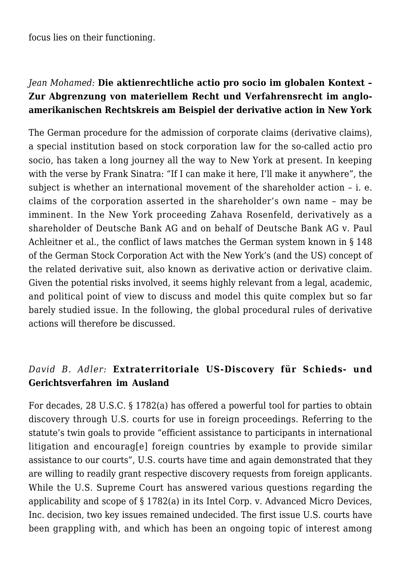focus lies on their functioning.

## *Jean Mohamed:* **Die aktienrechtliche actio pro socio im globalen Kontext – Zur Abgrenzung von materiellem Recht und Verfahrensrecht im angloamerikanischen Rechtskreis am Beispiel der derivative action in New York**

The German procedure for the admission of corporate claims (derivative claims), a special institution based on stock corporation law for the so-called actio pro socio, has taken a long journey all the way to New York at present. In keeping with the verse by Frank Sinatra: "If I can make it here, I'll make it anywhere", the subject is whether an international movement of the shareholder action – i. e. claims of the corporation asserted in the shareholder's own name – may be imminent. In the New York proceeding Zahava Rosenfeld, derivatively as a shareholder of Deutsche Bank AG and on behalf of Deutsche Bank AG v. Paul Achleitner et al., the conflict of laws matches the German system known in § 148 of the German Stock Corporation Act with the New York's (and the US) concept of the related derivative suit, also known as derivative action or derivative claim. Given the potential risks involved, it seems highly relevant from a legal, academic, and political point of view to discuss and model this quite complex but so far barely studied issue. In the following, the global procedural rules of derivative actions will therefore be discussed.

## *David B. Adler:* **Extraterritoriale US-Discovery für Schieds- und Gerichtsverfahren im Ausland**

For decades, 28 U.S.C. § 1782(a) has offered a powerful tool for parties to obtain discovery through U.S. courts for use in foreign proceedings. Referring to the statute's twin goals to provide "efficient assistance to participants in international litigation and encourag[e] foreign countries by example to provide similar assistance to our courts", U.S. courts have time and again demonstrated that they are willing to readily grant respective discovery requests from foreign applicants. While the U.S. Supreme Court has answered various questions regarding the applicability and scope of § 1782(a) in its Intel Corp. v. Advanced Micro Devices, Inc. decision, two key issues remained undecided. The first issue U.S. courts have been grappling with, and which has been an ongoing topic of interest among